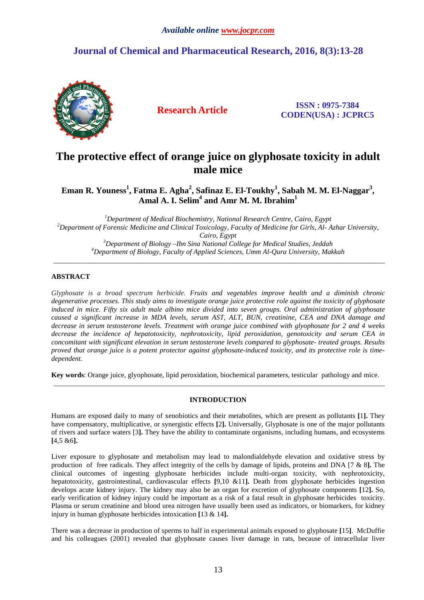# **Journal of Chemical and Pharmaceutical Research, 2016, 8(3):13-28**



**Research Article ISSN : 0975-7384 CODEN(USA) : JCPRC5**

# **The protective effect of orange juice on glyphosate toxicity in adult male mice**

# **Eman R. Youness<sup>1</sup> , Fatma E. Agha<sup>2</sup> , Safinaz E. El-Toukhy<sup>1</sup> , Sabah M. M. El-Naggar<sup>3</sup> , Amal A. I. Selim<sup>4</sup> and Amr M. M. Ibrahim<sup>1</sup>**

*Department of Medical Biochemistry, National Research Centre, Cairo, Egypt Department of Forensic Medicine and Clinical Toxicology, Faculty of Medicine for Girls, Al- Azhar University, Cairo, Egypt Department of Biology –Ibn Sina National College for Medical Studies, Jeddah* 

*<sup>4</sup>Department of Biology, Faculty of Applied Sciences, Umm Al-Qura University, Makkah*  \_\_\_\_\_\_\_\_\_\_\_\_\_\_\_\_\_\_\_\_\_\_\_\_\_\_\_\_\_\_\_\_\_\_\_\_\_\_\_\_\_\_\_\_\_\_\_\_\_\_\_\_\_\_\_\_\_\_\_\_\_\_\_\_\_\_\_\_\_\_\_\_\_\_\_\_\_\_\_\_\_\_\_\_\_\_\_\_\_\_\_\_\_

# **ABSTRACT**

*Glyphosate is a broad spectrum herbicide. Fruits and vegetables improve health and a diminish chronic degenerative processes. This study aims to investigate orange juice protective role against the toxicity of glyphosate induced in mice. Fifty six adult male albino mice divided into seven groups. Oral administration of glyphosate caused a significant increase in MDA levels, serum AST, ALT, BUN, creatinine, CEA and DNA damage and decrease in serum testosterone levels. Treatment with orange juice combined with glyophosate for 2 and 4 weeks decrease the incidence of hepatotoxicity, nephrotoxicity, lipid peroxidation, genotoxicity and serum CEA in concomitant with significant elevation in serum testosterone levels compared to glyphosate- treated groups. Results proved that orange juice is a potent protector against glyphosate-induced toxicity, and its protective role is timedependent.* 

**Key words**: Orange juice, glyophosate, lipid peroxidation, biochemical parameters, testicular pathology and mice. \_\_\_\_\_\_\_\_\_\_\_\_\_\_\_\_\_\_\_\_\_\_\_\_\_\_\_\_\_\_\_\_\_\_\_\_\_\_\_\_\_\_\_\_\_\_\_\_\_\_\_\_\_\_\_\_\_\_\_\_\_\_\_\_\_\_\_\_\_\_\_\_\_\_\_\_\_\_\_\_\_\_\_\_\_\_\_\_\_\_\_\_\_

# **INTRODUCTION**

Humans are exposed daily to many of xenobiotics and their metabolites, which are present as pollutants **[**1**].** They have compensatory, multiplicative, or synergistic effects **[**2**].** Universally, Glyphosate is one of the major pollutants of rivers and surface waters [3**].** They have the ability to contaminate organisms, including humans, and ecosystems **[**4,5 &6**].** 

Liver exposure to glyphosate and metabolism may lead to malondialdehyde elevation and oxidative stress by production of free radicals. They affect integrity of the cells by damage of lipids, proteins and DNA [7 & 8**].** The clinical outcomes of ingesting glyphosate herbicides include multi-organ toxicity, with nephrotoxicity, hepatotoxicity, gastrointestinal, cardiovascular effects **[**9,10 &11**].** Death from glyphosate herbicides ingestion develops acute kidney injury. The kidney may also be an organ for excretion of glyphosate components **[**12**].** So, early verification of kidney injury could be important as a risk of a fatal result in glyphosate herbicides toxicity. Plasma or serum creatinine and blood urea nitrogen have usually been used as indicators, or biomarkers, for kidney injury in human glyphosate herbicides intoxication **[**13 & 14**].**

There was a decrease in production of sperms to half in experimental animals exposed to glyphosate **[**15**]**. McDuffie and his colleagues (2001) revealed that glyphosate causes liver damage in rats, because of intracellular liver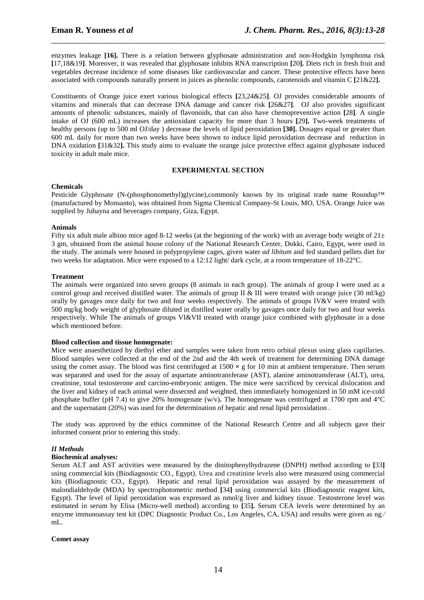enzymes leakage **[16].** There is a relation between glyphosate administration and non-Hodgkin lymphoma risk **[**17,18&19**]**. Moreover, it was revealed that glyphosate inhibits RNA transcription **[**20**].** Diets rich in fresh fruit and vegetables decrease incidence of some diseases like cardiovascular and cancer. These protective effects have been associated with compounds naturally present in juices as phenolic compounds, carotenoids and vitamin C **[**21&22**].** 

\_\_\_\_\_\_\_\_\_\_\_\_\_\_\_\_\_\_\_\_\_\_\_\_\_\_\_\_\_\_\_\_\_\_\_\_\_\_\_\_\_\_\_\_\_\_\_\_\_\_\_\_\_\_\_\_\_\_\_\_\_\_\_\_\_\_\_\_\_\_\_\_\_\_\_\_\_\_

Constituents of Orange juice exert various biological effects **[**23,24&25**]**. OJ provides considerable amounts of vitamins and minerals that can decrease DNA damage and cancer risk **[**26&27**]**. OJ also provides significant amounts of phenolic substances, mainly of flavonoids, that can also have chemopreventive action **[**28**]**. A single intake of OJ (600 mL) increases the antioxidant capacity for more than 3 hours **[**29**].** Two-week treatments of healthy persons (up to 500 ml OJ/day ) decrease the levels of lipid peroxidation **[30].** Dosages equal or greater than 600 mL daily for more than two weeks have been shown to induce lipid peroxidation decrease and reduction in DNA oxidation **[**31&32**].** This study aims to evaluate the orange juice protective effect against glyphosate induced toxicity in adult male mice.

#### **EXPERIMENTAL SECTION**

#### **Chemicals**

Pesticide Glyphosate (N-(phosphonomethyl)glycine),commonly known by its original trade name Roundup™ (manufactured by Monsanto), was obtained from Sigma Chemical Company-St Louis, MO, USA. Orange Juice was supplied by Juhayna and beverages company, Giza, Egypt.

#### **Animals**

Fifty six adult male albino mice aged 8-12 weeks (at the beginning of the work) with an average body weight of  $21\pm$ 3 gm, obtained from the animal house colony of the National Research Center, Dokki, Cairo, Egypt, were used in the study. The animals were housed in polypropylene cages, given water *ad libitum* and fed standard pellets diet for two weeks for adaptation. Mice were exposed to a 12:12 light/ dark cycle, at a room temperature of 18-22°C.

# **Treatment**

The animals were organized into seven groups (8 animals in each group). The animals of group I were used as a control group and received distilled water. The animals of group II & III were treated with orange juice (30 ml/kg) orally by gavages once daily for two and four weeks respectively. The animals of groups IV&V were treated with 500 mg/kg body weight of glyphosate diluted in distilled water orally by gavages once daily for two and four weeks respectively. While The animals of groups VI&VII treated with orange juice combined with glyphosate in a dose which mentioned before.

# **Blood collection and tissue homogenate:**

Mice were anaesthetized by diethyl ether and samples were taken from retro orbital plexus using glass capillaries. Blood samples were collected at the end of the 2nd and the 4th week of treatment for determining DNA damage using the comet assay. The blood was first centrifuged at 1500 **×** g for 10 min at ambient temperature. Then serum was separated and used for the assay of aspartate aminotransferase (AST), alanine aminotransferase (ALT), urea, creatinine, total testosterone and carcino-embryonic antigen. The mice were sacrificed by cervical dislocation and the liver and kidney of each animal were dissected and weighted, then immediately homogenized in 50 mM ice-cold phosphate buffer (pH 7.4) to give 20% homogenate (w/v)**.** The homogenate was centrifuged at 1700 rpm and 4°C and the supernatant (20%) was used for the determination of hepatic and renal lipid peroxidation .

The study was approved by the ethics committee of the National Research Centre and all subjects gave their informed consent prior to entering this study.

# *II Methods*

# **Biochemical analyses:**

Serum ALT and AST activities were measured by the dinitophenylhydrazene (DNPH) method according to **[**33**]** using commercial kits (Biodiagnostic CO., Egypt). Urea and creatinine levels also were measured using commercial kits (Biodiagnostic CO., Egypt). Hepatic and renal lipid peroxidation was assayed by the measurement of malondialdehyde (MDA) by spectrophotometric method **[**34**]** using commercial kits (Biodiagnostic reagent kits, Egypt). The level of lipid peroxidation was expressed as  $n_{\text{mol/g}}$  liver and kidney tissue. Testosterone level was estimated in serum by Elisa (Micro-well method) according to **[**35**].** Serum CEA levels were determined by an enzyme immunoassay test kit (DPC Diagnostic Product Co., Los Angeles, CA, USA) and results were given as ng/ mL.

#### **Comet assay**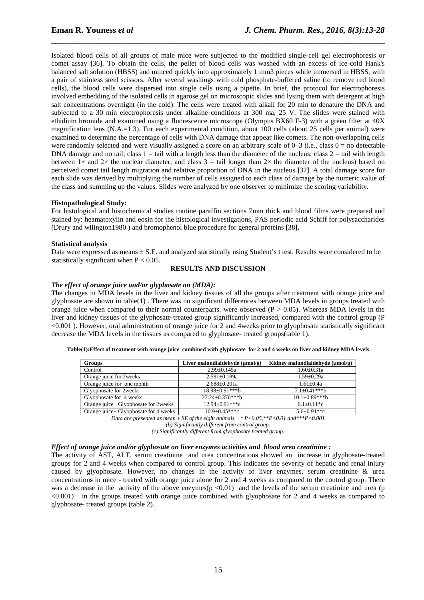Isolated blood cells of all groups of male mice were subjected to the modified single-cell gel electrophoresis or comet assay **[**36**]**. To obtain the cells, the pellet of blood cells was washed with an excess of ice-cold Hank's balanced salt solution (HBSS) and minced quickly into approximately 1 mm3 pieces while immersed in HBSS, with a pair of stainless steel scissors. After several washings with cold phosphate-buffered saline (to remove red blood cells), the blood cells were dispersed into single cells using a pipette. In brief, the protocol for electrophoresis involved embedding of the isolated cells in agarose gel on microscopic slides and lysing them with detergent at high salt concentrations overnight (in the cold). The cells were treated with alkali for 20 min to denature the DNA and subjected to a 30 min electrophoresis under alkaline conditions at 300 ma, 25 V. The slides were stained with ethidium bromide and examined using a fluorescence microscope (Olympus BX60 F-3) with a green filter at 40X magnification lens (N.A.=1.3). For each experimental condition, about 100 cells (about 25 cells per animal) were examined to determine the percentage of cells with DNA damage that appear like comets. The non-overlapping cells were randomly selected and were visually assigned a score on an arbitrary scale of  $0-3$  (i.e., class  $0 =$  no detectable DNA damage and no tail; class  $1 = \text{tail}$  with a length less than the diameter of the nucleus; class  $2 = \text{tail}$  with length between  $1\times$  and  $2\times$  the nuclear diameter; and class  $3 = \text{tail longer}$  than  $2\times$  the diameter of the nucleus) based on perceived comet tail length migration and relative proportion of DNA in the nucleus **[**37**]**. A total damage score for each slide was derived by multiplying the number of cells assigned to each class of damage by the numeric value of the class and summing up the values. Slides were analyzed by one observer to minimize the scoring variability.

\_\_\_\_\_\_\_\_\_\_\_\_\_\_\_\_\_\_\_\_\_\_\_\_\_\_\_\_\_\_\_\_\_\_\_\_\_\_\_\_\_\_\_\_\_\_\_\_\_\_\_\_\_\_\_\_\_\_\_\_\_\_\_\_\_\_\_\_\_\_\_\_\_\_\_\_\_\_

#### **Histopathological Study:**

For histological and histochemical studies routine paraffin sections 7mm thick and blood films were prepared and stained by: heamatoxylin and eosin for the histological investigations, PAS periodic acid Schiff for polysaccharides (Drury and wilington1980 ) and bromophenol blue procedure for general proteins **[**38**].** 

#### **Statistical analysis**

Data were expressed as means  $\pm$  S.E. and analyzed statistically using Student's t test. Results were considered to be statistically significant when  $P < 0.05$ .

#### **RESULTS AND DISCUSSION**

#### *The effect of orange juice and/or glyphosate on (MDA):*

The changes in MDA levels in the liver and kidney tissues of all the groups after treatment with orange juice and glyphosate are shown in table(1) . There was no significant differences between MDA levels in groups treated with orange juice when compared to their normal counterparts. were observed  $(P > 0.05)$ . Whereas MDA levels in the liver and kidney tissues of the glyphosate-treated group significantly increased, compared with the control group (P <0.001 ). However, oral administration of orange juice for 2 and 4weeks prior to glyophosate statistically significant decrease the MDA levels in the tissues as compared to glyphosate- treated groups(table 1).

| <b>Groups</b>                          | Liver malondialdehyde $(\mu mol/g)$ | Kidney malondialdehyde $(\mu \text{mol/g})$ |
|----------------------------------------|-------------------------------------|---------------------------------------------|
| Control                                | $2.99+0.145a$                       | $1.60 \pm 0.31a$                            |
| Orange juice for 2 weeks               | $2.591 \pm 0.189a$                  | $1.59 \pm 0.29a$                            |
| Orange juice for one month             | $2.688 \pm 0.201a$                  | $1.61 \pm 0.4a$                             |
| Glyophosate for 2weeks                 | $18.98 \pm 0.91***b$                | $7.1 + 0.41$ ***b                           |
| Glyophosate for 4 weeks                | $27.24 \pm 0.376***$ h              | $10.1 \pm 0.89$ ***b                        |
| Orange juice + Glyophosate for 2 weeks | $12.94 + 0.91***c$                  | $6.1 + 0.11$ *c                             |
| Orange juice+ Glyophosate for 4 weeks  | $10.9 + 0.45***c$                   | $5.6 + 0.91**c$                             |

**Table(1):Effect of treatment with orange juice combined with glyphosate for 2 and 4 weeks on liver and kidney MDA levels** 

*Data are presented as mean*  $\pm$  *SE of the eight animals.*  $*P<0.05$ ,  $*P<0.01$  and  $**P<0.001$ 

*(c) Significantly different from glyophosate treated group.* 

#### *Effect of orange juice and/or glyphosate on liver enzymes activities and blood urea creatinine :*

The activity of AST, ALT, serum creatinine and urea concentration**s** showed an increase in glyphosate-treated groups for 2 and 4 weeks when compared to control group. This indicates the severity of hepatic and renal injury caused by glyophosate. However, no changes in the activity of liver enzymes, serum creatinine & urea concentration**s** in mice - treated with orange juice alone for 2 and 4 weeks as compared to the control group. There was a decrease in the activity of the above enzymes( $p \le 0.01$ ) and the levels of the serum creatinine and urea (p <0.001) in the groups treated with orange juice combined with glyophosate for 2 and 4 weeks as compared to glyphosate- treated groups (table 2).

*<sup>(</sup>b) Significantly different from control group.*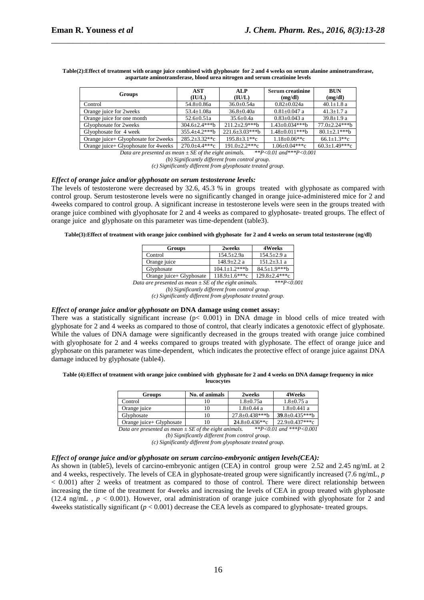| Table(2): Effect of treatment with orange juice combined with glyphosate for 2 and 4 weeks on serum alanine aminotransferase, |
|-------------------------------------------------------------------------------------------------------------------------------|
| aspartate aminotransferase, blood urea nitrogen and serum creatinine levels                                                   |

\_\_\_\_\_\_\_\_\_\_\_\_\_\_\_\_\_\_\_\_\_\_\_\_\_\_\_\_\_\_\_\_\_\_\_\_\_\_\_\_\_\_\_\_\_\_\_\_\_\_\_\_\_\_\_\_\_\_\_\_\_\_\_\_\_\_\_\_\_\_\_\_\_\_\_\_\_\_

| <b>Groups</b>                          | AST<br>(IU/L)      | <b>ALP</b><br>(IU/L)  | <b>Serum creatinine</b><br>(mg/dl) | BUN<br>(mg/dl)      |
|----------------------------------------|--------------------|-----------------------|------------------------------------|---------------------|
| Control                                | $54.8 \pm 0.86a$   | $36.0 \pm 0.54a$      | $0.82 + 0.024a$                    | $40.1 \pm 1.8$ a    |
| Orange juice for 2 weeks               | $53.4 \pm 1.08a$   | $36.8 \pm 0.40a$      | $0.81 \pm 0.047$ a                 | $41.3 \pm 1.7$ a    |
| Orange juice for one month             | $52.6 \pm 0.51a$   | $35.6 + 0.4a$         | $0.83 \pm 0.043$ a                 | $39.8 \pm 1.9 a$    |
| Glyophosate for 2 weeks                | $304.6 + 2.4***$ h | $211.2 + 2.9$ ***b    | $1.43 \pm 0.034***$ h              | $77.0 + 2.24***$    |
| Glyophosate for 4 week                 | $355.4 + 4.2$ ***b | $221.6 \pm 3.03$ ***b | $1.48 + 0.011$ ***b                | $80.1 + 2.1$ ***b   |
| Orange juice + Glyophosate for 2 weeks | $285.2 + 3.32**c$  | $195.8 + 3.1**c$      | $1.18 + 0.06**c$                   | $66.1 + 1.3**c$     |
| Orange juice+ Glyophosate for 4 weeks  | $270.0 + 4.4$ ***c | $191.0 + 2.2$ ***c    | $1.06 \pm 0.04***c$                | $60.3 \pm 1.49***c$ |

*Data are presented as mean ± SE of the eight animals. \*\*P<0.01 and\*\*\*P<0.001* 

*(b) Significantly different from control group.* 

*(c) Significantly different from glyophosate treated group.* 

#### *Effect of orange juice and/or glyphosate on serum testosterone levels:*

The levels of testosterone were decreased by 32.6, 45.3 % in groups treated with glyphosate as compared with control group. Serum testosterone levels were no significantly changed in orange juice-administered mice for 2 and 4weeks compared to control group. A significant increase in testosterone levels were seen in the groups treated with orange juice combined with glyophosate for 2 and 4 weeks as compared to glyphosate- treated groups. The effect of orange juice and glyphosate on this parameter was time-dependent (table3).

#### **Table(3):Effect of treatment with orange juice combined with glyphosate for 2 and 4 weeks on serum total testosterone (ng/dl)**

| Groups                   | 2weeks               | 4Weeks              |
|--------------------------|----------------------|---------------------|
| Control                  | $154.5 + 2.9a$       | $154.5 + 2.9a$      |
| Orange juice             | $148.9 + 2.2 a$      | $151.2 + 3.1 a$     |
| Glyphosate               | $104.1+1.2***b$      | $84.5 \pm 1.9$ ***b |
| Orange juice+ Glyphosate | $118.9 \pm 1.6$ ***c | $129.8 + 2.4***c$   |

*Data are presented as mean ± SE of the eight animals. \*\*\*P<0.001* 

#### *Effect of orange juice and/or glyphosate on* **DNA damage using comet assay:**

There was a statistically significant increase  $(p< 0.001)$  in DNA dmage in blood cells of mice treated with glyphosate for 2 and 4 weeks as compared to those of control, that clearly indicates a genotoxic effect of glyphosate. While the values of DNA damage were significantly decreased in the groups treated with orange juice combined with glyophosate for 2 and 4 weeks compared to groups treated with glyphosate. The effect of orange juice and glyphosate on this parameter was time-dependent, which indicates the protective effect of orange juice against DNA damage induced by glyphosate (table4).

#### **Table (4):Effect of treatment with orange juice combined with glyphosate for 2 and 4 weeks on DNA damage frequency in mice leucocytes**

| Groups                    | No. of animals | 2weeks               | 4Weeks               |
|---------------------------|----------------|----------------------|----------------------|
| Control                   |                | $1.8 + 0.75a$        | $1.8 + 0.75$ a       |
| Orange juice              |                | $1.8 + 0.44$ a       | $1.8 + 0.441$ a      |
| Glyphosate                | 10             | $27.8 \pm 0.438***b$ | $39.8 \pm 0.435***b$ |
| Orange juice + Glyphosate |                | $24.8 + 0.436**c$    | $22.9 + 0.437***c$   |

*Data are presented as mean ± SE of the eight animals. \*\*P<0.01 and \*\*\*P<0.001 (b) Significantly different from control group. (c) Significantly different from glyophosate treated group.* 

#### *Effect of orange juice and/or glyphosate on serum carcino-embryonic antigen levels(CEA):*

As shown in (table5), levels of carcino-embryonic antigen (CEA) in control group were 2.52 and 2.45 ng/mL at 2 and 4 weeks, respectively. The levels of CEA in glyphosate-treated group were significantly increased (7.6 ng/mL, *p*  < 0.001) after 2 weeks of treatment as compared to those of control. There were direct relationship between increasing the time of the treatment for 4weeks and increasing the levels of CEA in group treated with glyphosate (12.4 ng/mL,  $p < 0.001$ ). However, oral administration of orange juice combined with glyophosate for 2 and 4weeks statistically significant (*p* < 0.001) decrease the CEA levels as compared to glyphosate- treated groups.

*<sup>(</sup>b) Significantly different from control group. (c) Significantly different from glyophosate treated group.*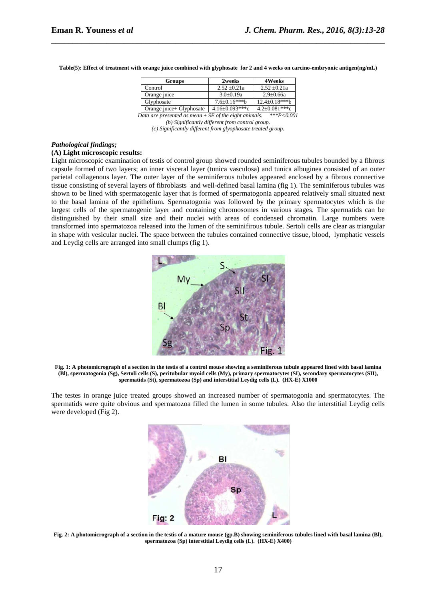| Groups                   | 2weeks                | 4Weeks               |
|--------------------------|-----------------------|----------------------|
| Control                  | $2.52 + 0.21a$        | $2.52 \pm 0.21a$     |
| Orange juice             | $3.0 \pm 0.19a$       | $2.9 \pm 0.66a$      |
| Glyphosate               | $7.6 \pm 0.16$ ***b   | $12.4 \pm 0.18***b$  |
| Orange juice+ Glyphosate | $4.16 \pm 0.093$ ***c | $4.2 \pm 0.081$ ***c |

**Table(5): Effect of treatment with orange juice combined with glyphosate for 2 and 4 weeks on carcino-embryonic antigen(ng/mL)**

\_\_\_\_\_\_\_\_\_\_\_\_\_\_\_\_\_\_\_\_\_\_\_\_\_\_\_\_\_\_\_\_\_\_\_\_\_\_\_\_\_\_\_\_\_\_\_\_\_\_\_\_\_\_\_\_\_\_\_\_\_\_\_\_\_\_\_\_\_\_\_\_\_\_\_\_\_\_

*Data are presented as mean ± SE of the eight animals. \*\*\*P<0.001* 

*(b) Significantly different from control group.* 

*(c) Significantly different from glyophosate treated group.* 

# *Pathological findings;*

# **(A) Light microscopic results:**

Light microscopic examination of testis of control group showed rounded seminiferous tubules bounded by a fibrous capsule formed of two layers; an inner visceral layer (tunica vasculosa) and tunica albuginea consisted of an outer parietal collagenous layer. The outer layer of the seminiferous tubules appeared enclosed by a fibrous connective tissue consisting of several layers of fibroblasts and well-defined basal lamina (fig 1). The seminiferous tubules was shown to be lined with spermatogenic layer that is formed of spermatogonia appeared relatively small situated next to the basal lamina of the epithelium. Spermatogonia was followed by the primary spermatocytes which is the largest cells of the spermatogenic layer and containing chromosomes in various stages. The spermatids can be distinguished by their small size and their nuclei with areas of condensed chromatin. Large numbers were transformed into spermatozoa released into the lumen of the seminifirous tubule. Sertoli cells are clear as triangular in shape with vesicular nuclei. The space between the tubules contained connective tissue, blood, lymphatic vessels and Leydig cells are arranged into small clumps (fig 1).



**Fig. 1: A photomicrograph of a section in the testis of a control mouse showing a seminiferous tubule appeared lined with basal lamina (Bl), spermatogonia (Sg), Sertoli cells (S), peritubular myoid cells (My), primary spermatocytes (SI), secondary spermatocytes (SII), spermatids (St), spermatozoa (Sp) and interstitial Leydig cells (L). (HX-E) X1000**

The testes in orange juice treated groups showed an increased number of spermatogonia and spermatocytes. The spermatids were quite obvious and spermatozoa filled the lumen in some tubules. Also the interstitial Leydig cells were developed (Fig 2).



**Fig. 2: A photomicrograph of a section in the testis of a mature mouse (gp.B) showing seminiferous tubules lined with basal lamina (Bl), spermatozoa (Sp) interstitial Leydig cells (L). (HX-E) X400)**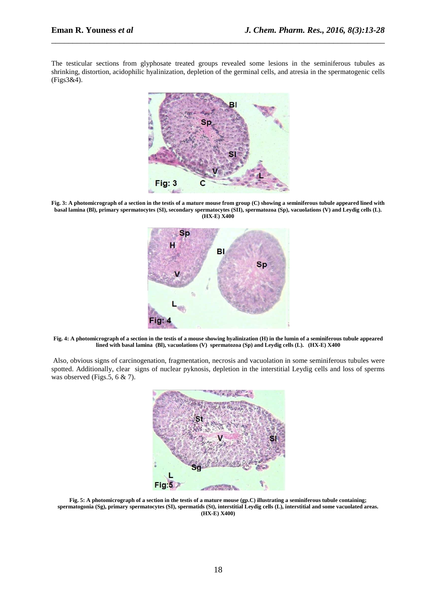The testicular sections from glyphosate treated groups revealed some lesions in the seminiferous tubules as shrinking, distortion, acidophilic hyalinization, depletion of the germinal cells, and atresia in the spermatogenic cells (Figs3&4).

\_\_\_\_\_\_\_\_\_\_\_\_\_\_\_\_\_\_\_\_\_\_\_\_\_\_\_\_\_\_\_\_\_\_\_\_\_\_\_\_\_\_\_\_\_\_\_\_\_\_\_\_\_\_\_\_\_\_\_\_\_\_\_\_\_\_\_\_\_\_\_\_\_\_\_\_\_\_



**Fig. 3: A photomicrograph of a section in the testis of a mature mouse from group (C) showing a seminiferous tubule appeared lined with basal lamina (Bl), primary spermatocytes (SI), secondary spermatocytes (SII), spermatozoa (Sp), vacuolations (V) and Leydig cells (L). (HX-E) X400** 



**Fig. 4: A photomicrograph of a section in the testis of a mouse showing hyalinization (H) in the lumin of a seminiferous tubule appeared lined with basal lamina (Bl), vacuolations (V) spermatozoa (Sp) and Leydig cells (L). (HX-E) X400**

 Also, obvious signs of carcinogenation, fragmentation, necrosis and vacuolation in some seminiferous tubules were spotted. Additionally, clear signs of nuclear pyknosis, depletion in the interstitial Leydig cells and loss of sperms was observed (Figs.5,  $6 \& 7$ ).



**Fig. 5: A photomicrograph of a section in the testis of a mature mouse (gp.C) illustrating a seminiferous tubule containing; spermatogonia (Sg), primary spermatocytes (SI), spermatids (St), interstitial Leydig cells (L), interstitial and some vacuolated areas. (HX-E) X400)**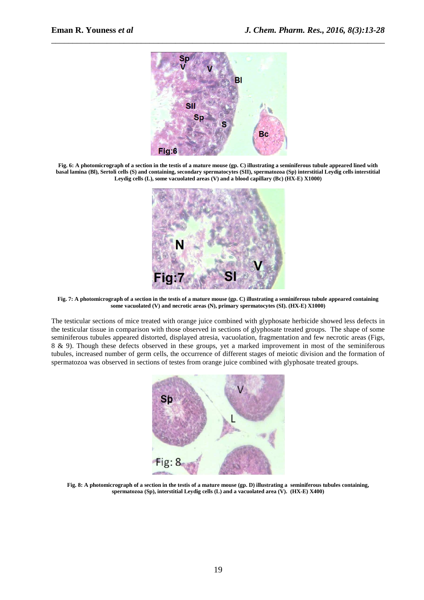

**Fig. 6: A photomicrograph of a section in the testis of a mature mouse (gp. C) illustrating a seminiferous tubule appeared lined with basal lamina (Bl), Sertoli cells (S) and containing, secondary spermatocytes (SII), spermatozoa (Sp) interstitial Leydig cells interstitial Leydig cells (L), some vacuolated areas (V) and a blood capillary (Bc) (HX-E) X1000)** 



**Fig. 7: A photomicrograph of a section in the testis of a mature mouse (gp. C) illustrating a seminiferous tubule appeared containing some vacuolated (V) and necrotic areas (N), primary spermatocytes (SI). (HX-E) X1000)** 

The testicular sections of mice treated with orange juice combined with glyphosate herbicide showed less defects in the testicular tissue in comparison with those observed in sections of glyphosate treated groups. The shape of some seminiferous tubules appeared distorted, displayed atresia, vacuolation, fragmentation and few necrotic areas (Figs, 8 & 9). Though these defects observed in these groups, yet a marked improvement in most of the seminiferous tubules, increased number of germ cells, the occurrence of different stages of meiotic division and the formation of spermatozoa was observed in sections of testes from orange juice combined with glyphosate treated groups.



**Fig. 8: A photomicrograph of a section in the testis of a mature mouse (gp. D) illustrating a seminiferous tubules containing, spermatozoa (Sp), interstitial Leydig cells (L) and a vacuolated area (V). (HX-E) X400)**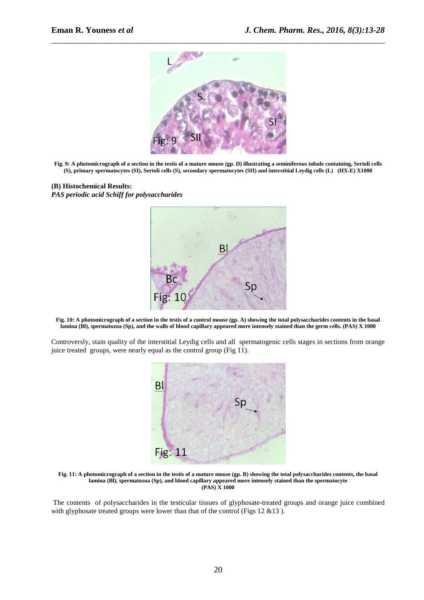

**Fig. 9: A photomicrograph of a section in the testis of a mature mouse (gp. D) illustrating a seminiferous tubule containing, Sertoli cells (S), primary spermatocytes (SI), Sertoli cells (S), secondary spermatocytes (SII) and interstitial Leydig cells (L) (HX-E) X1000** 

# **(B) Histochemical Results:**

 *PAS periodic acid Schiff for polysaccharides*



**Fig. 10: A photomicrograph of a section in the testis of a control mouse (gp. A) showing the total polysaccharides contents in the basal lamina (Bl), spermatozoa (Sp), and the walls of blood capillary appeared more intensely stained than the germ cells. (PAS) X 1000** 

Controversly, stain quality of the interstitial Leydig cells and all spermatogenic cells stages in sections from orange juice treated groups, were nearly equal as the control group (Fig 11).



**Fig. 11: A photomicrograph of a section in the testis of a mature mouse (gp. B) showing the total polysaccharides contents, the basal lamina (Bl), spermatozoa (Sp), and blood capillary appeared more intensely stained than the spermatocyte (PAS) X 1000** 

 The contents of polysaccharides in the testicular tissues of glyphosate-treated groups and orange juice combined with glyphosate treated groups were lower than that of the control (Figs 12 &13).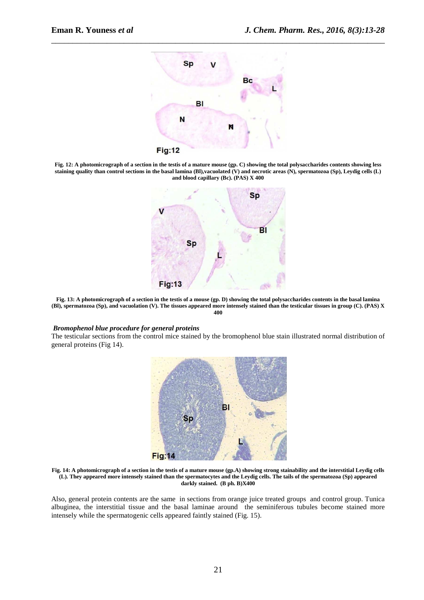

**Fig. 12: A photomicrograph of a section in the testis of a mature mouse (gp. C) showing the total polysaccharides contents showing less staining quality than control sections in the basal lamina (Bl),vacuolated (V) and necrotic areas (N), spermatozoa (Sp), Leydig cells (L) and blood capillary (Bc). (PAS) X 400** 



**Fig. 13: A photomicrograph of a section in the testis of a mouse (gp. D) showing the total polysaccharides contents in the basal lamina (Bl), spermatozoa (Sp), and vacuolation (V). The tissues appeared more intensely stained than the testicular tissues in group (C). (PAS) X 400** 

#### *Bromophenol blue procedure for general proteins*

The testicular sections from the control mice stained by the bromophenol blue stain illustrated normal distribution of general proteins (Fig 14).





Also, general protein contents are the same in sections from orange juice treated groups and control group. Tunica albuginea, the interstitial tissue and the basal laminae around the seminiferous tubules become stained more intensely while the spermatogenic cells appeared faintly stained (Fig. 15).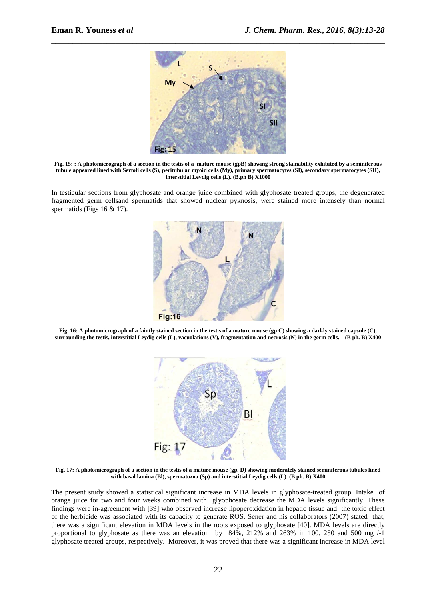

**Fig. 15: : A photomicrograph of a section in the testis of a mature mouse (gpB) showing strong stainability exhibited by a seminiferous tubule appeared lined with Sertoli cells (S), peritubular myoid cells (My), primary spermatocytes (SI), secondary spermatocytes (SII), interstitial Leydig cells (L). (B.ph B) X1000** 

In testicular sections from glyphosate and orange juice combined with glyphosate treated groups, the degenerated fragmented germ cellsand spermatids that showed nuclear pyknosis, were stained more intensely than normal spermatids (Figs 16 & 17).



**Fig. 16: A photomicrograph of a faintly stained section in the testis of a mature mouse (gp C) showing a darkly stained capsule (C), surrounding the testis, interstitial Leydig cells (L), vacuolations (V), fragmentation and necrosis (N) in the germ cells. (B ph. B) X400** 



**Fig. 17: A photomicrograph of a section in the testis of a mature mouse (gp. D) showing moderately stained seminiferous tubules lined with basal lamina (Bl), spermatozoa (Sp) and interstitial Leydig cells (L). (B ph. B) X400** 

The present study showed a statistical significant increase in MDA levels in glyphosate-treated group. Intake of orange juice for two and four weeks combined with glyophosate decrease the MDA levels significantly. These findings were in-agreement with **[**39**]** who observed increase lipoperoxidation in hepatic tissue and the toxic effect of the herbicide was associated with its capacity to generate ROS. Sener and his collaborators (2007) stated that, there was a significant elevation in MDA levels in the roots exposed to glyphosate [40]. MDA levels are directly proportional to glyphosate as there was an elevation by 84%, 212% and 263% in 100, 250 and 500 mg *l*-1 glyphosate treated groups, respectively. Moreover, it was proved that there was a significant increase in MDA level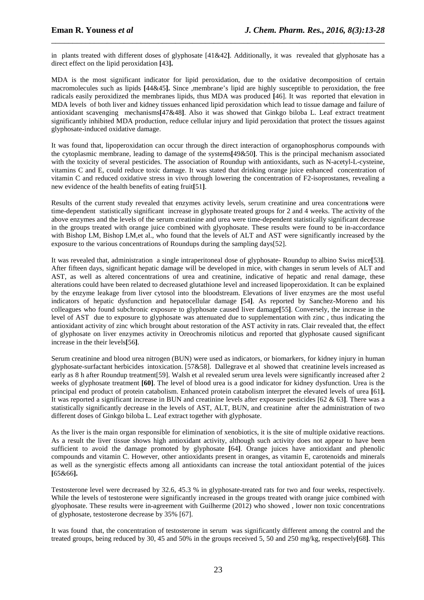in plants treated with different doses of glyphosate [41&42**]**. Additionally, it was revealed that glyphosate has a direct effect on the lipid peroxidation **[**43**].**

\_\_\_\_\_\_\_\_\_\_\_\_\_\_\_\_\_\_\_\_\_\_\_\_\_\_\_\_\_\_\_\_\_\_\_\_\_\_\_\_\_\_\_\_\_\_\_\_\_\_\_\_\_\_\_\_\_\_\_\_\_\_\_\_\_\_\_\_\_\_\_\_\_\_\_\_\_\_

MDA is the most significant indicator for lipid peroxidation, due to the oxidative decomposition of certain macromolecules such as lipids **[**44&45**].** Since ,membrane's lipid are highly susceptible to peroxidation, the free radicals easily peroxidized the membranes lipids, thus MDA was produced **[**46]. It was reported that elevation in MDA levels of both liver and kidney tissues enhanced lipid peroxidation which lead to tissue damage and failure of antioxidant scavenging mechanisms**[**47&48**]**. Also it was showed that Ginkgo biloba L. Leaf extract treatment significantly inhibited MDA production, reduce cellular injury and lipid peroxidation that protect the tissues against glyphosate-induced oxidative damage.

It was found that, lipoperoxidation can occur through the direct interaction of organophosphorus compounds with the cytoplasmic membrane, leading to damage of the systems**[**49&50**]**. This is the principal mechanism associated with the toxicity of several pesticides. The association of Roundup with antioxidants, such as N-acetyl-L-cysteine, vitamins C and E, could reduce toxic damage. It was stated that drinking orange juice enhanced concentration of vitamin C and reduced oxidative stress in vivo through lowering the concentration of F2-isoprostanes, revealing a new evidence of the health benefits of eating fruit**[**51**]**.

Results of the current study revealed that enzymes activity levels, serum creatinine and urea concentration**s** were time-dependent statistically significant increase in glyphosate treated groups for 2 and 4 weeks. The activity of the above enzymes and the levels of the serum creatinine and urea were time-dependent statistically significant decrease in the groups treated with orange juice combined with glyophosate. These results were found to be in-accordance with Bishop LM, Bishop LM,et al., who found that the levels of ALT and AST were significantly increased by the exposure to the various concentrations of Roundups during the sampling days[52].

It was revealed that, administration a single intraperitoneal dose of glyphosate- Roundup to albino Swiss mice**[**53**]**. After fifteen days, significant hepatic damage will be developed in mice, with changes in serum levels of ALT and AST, as well as altered concentrations of urea and creatinine, indicative of hepatic and renal damage, these alterations could have been related to decreased glutathione level and increased lipoperoxidation. It can be explained by the enzyme leakage from liver cytosol into the bloodstream. Elevations of liver enzymes are the most useful indicators of hepatic dysfunction and hepatocellular damage **[**54**]**. As reported by Sanchez-Moreno and his colleagues who found subchronic exposure to glyphosate caused liver damage**[**55**]**. Conversely, the increase in the level of AST due to exposure to glyphosate was attenuated due to supplementation with zinc , thus indicating the antioxidant activity of zinc which brought about restoration of the AST activity in rats. Clair revealed that, the effect of glyphosate on liver enzymes activity in Oreochromis niloticus and reported that glyphosate caused significant increase in the their levels**[**56**]**.

Serum creatinine and blood urea nitrogen (BUN) were used as indicators, or biomarkers, for kidney injury in human glyphosate-surfactant herbicides intoxication. [57&58]. Dallegrave et al showed that creatinine levels increased as early as 8 h after Roundup treatment[59]. Walsh et al revealed serum urea levels were significantly increased after 2 weeks of glyphosate treatment **[60]**. The level of blood urea is a good indicator for kidney dysfunction. Urea is the principal end product of protein catabolism. Enhanced protein catabolism interpret the elevated levels of urea **[**61**].**  It was reported a significant increase in BUN and creatinine levels after exposure pesticides [62 & 63**]**. There was a statistically significantly decrease in the levels of AST, ALT, BUN, and creatinine after the administration of two different doses of Ginkgo biloba L. Leaf extract together with glyphosate.

As the liver is the main organ responsible for elimination of xenobiotics, it is the site of multiple oxidative reactions. As a result the liver tissue shows high antioxidant activity, although such activity does not appear to have been sufficient to avoid the damage promoted by glyphosate **[**64**]**. Orange juices have antioxidant and phenolic compounds and vitamin C. However, other antioxidants present in oranges, as vitamin E, carotenoids and minerals as well as the synergistic effects among all antioxidants can increase the total antioxidant potential of the juices **[**65&66**].**

Testosterone level were decreased by 32.6, 45.3 % in glyphosate-treated rats for two and four weeks, respectively. While the levels of testosterone were significantly increased in the groups treated with orange juice combined with glyophosate. These results were in-agreement with Guilherme (2012) who showed , lower non toxic concentrations of glyphosate, testosterone decrease by 35% [67].

It was found that, the concentration of testosterone in serum was significantly different among the control and the treated groups, being reduced by 30, 45 and 50% in the groups received 5, 50 and 250 mg/kg, respectively**[**68**]**. This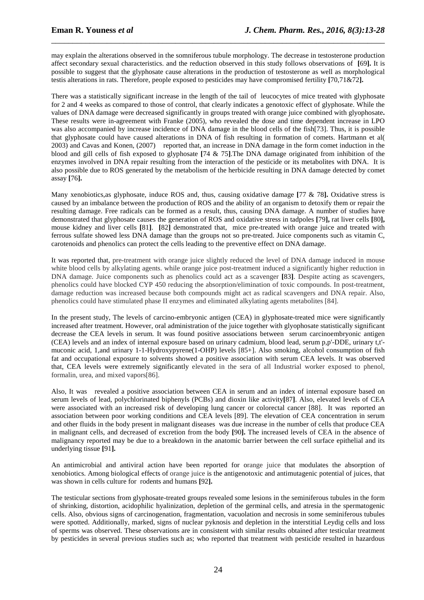may explain the alterations observed in the somniferous tubule morphology. The decrease in testosterone production affect secondary sexual characteristics. and the reduction observed in this study follows observations of **[**69**].** It is possible to suggest that the glyphosate cause alterations in the production of testosterone as well as morphological testis alterations in rats. Therefore, people exposed to pesticides may have compromised fertility **[**70,71&72**].** 

\_\_\_\_\_\_\_\_\_\_\_\_\_\_\_\_\_\_\_\_\_\_\_\_\_\_\_\_\_\_\_\_\_\_\_\_\_\_\_\_\_\_\_\_\_\_\_\_\_\_\_\_\_\_\_\_\_\_\_\_\_\_\_\_\_\_\_\_\_\_\_\_\_\_\_\_\_\_

There was a statistically significant increase in the length of the tail of leucocytes of mice treated with glyphosate for 2 and 4 weeks as compared to those of control, that clearly indicates a genotoxic effect of glyphosate. While the values of DNA damage were decreased significantly in groups treated with orange juice combined with glyophosate**.**  These results were in-agreement with Franke (2005), who revealed the dose and time dependent increase in LPO was also accompanied by increase incidence of DNA damage in the blood cells of the fish[73]. Thus, it is possible that glyphosate could have caused alterations in DNA of fish resulting in formation of comets. Hartmann et al( 2003) and Cavas and Konen, (2007) reported that, an increase in DNA damage in the form comet induction in the blood and gill cells of fish exposed to glyphosate **[**74 & 75**]**.The DNA damage originated from inhibition of the enzymes involved in DNA repair resulting from the interaction of the pesticide or its metabolites with DNA. It is also possible due to ROS generated by the metabolism of the herbicide resulting in DNA damage detected by comet assay **[**76**].** 

Many xenobiotics,as glyphosate, induce ROS and, thus, causing oxidative damage **[**77 & 78**].** Oxidative stress is caused by an imbalance between the production of ROS and the ability of an organism to detoxify them or repair the resulting damage. Free radicals can be formed as a result, thus, causing DNA damage. A number of studies have demonstrated that glyphosate causes the generation of ROS and oxidative stress in tadpoles **[**79**],** rat liver cells **[**80**],** mouse kidney and liver cells **[**81**]**. **[**82**]** demonstrated that, mice pre-treated with orange juice and treated with ferrous sulfate showed less DNA damage than the groups not so pre-treated. Juice components such as vitamin C, carotenoids and phenolics can protect the cells leading to the preventive effect on DNA damage.

It was reported that, pre-treatment with orange juice slightly reduced the level of DNA damage induced in mouse white blood cells by alkylating agents. while orange juice post-treatment induced a significantly higher reduction in DNA damage. Juice components such as phenolics could act as a scavenger **[**83**]**. Despite acting as scavengers, phenolics could have blocked CYP 450 reducing the absorption/elimination of toxic compounds. In post-treatment, damage reduction was increased because both compounds might act as radical scavengers and DNA repair. Also, phenolics could have stimulated phase II enzymes and eliminated alkylating agents metabolites [84].

In the present study, The levels of carcino-embryonic antigen (CEA) in glyphosate-treated mice were significantly increased after treatment. However, oral administration of the juice together with glyophosate statistically significant decrease the CEA levels in serum. It was found positive associations between serum carcinoembryonic antigen (CEA) levels and an index of internal exposure based on urinary cadmium, blood lead, serum p,p'-DDE, urinary t,t' muconic acid, 1,and urinary 1-1-Hydroxypyrene(1-OHP) levels [85+]. Also smoking, alcohol consumption of fish fat and occupational exposure to solvents showed a positive association with serum CEA levels. It was observed that, CEA levels were extremely significantly elevated in the sera of all Industrial worker exposed to phenol, formalin, urea, and mixed vapors[86].

Also, It was revealed a positive association between CEA in serum and an index of internal exposure based on serum levels of lead, polychlorinated biphenyls (PCBs) and dioxin like activity**[**87**]**. Also, elevated levels of CEA were associated with an increased risk of developing lung cancer or colorectal cancer [88].It was reported an association between poor working conditions and CEA levels [89]. The elevation of CEA concentration in serum and other fluids in the body present in malignant diseases was due increase in the number of cells that produce CEA in malignant cells, and decreased of excretion from the body **[**90**].** The increased levels of CEA in the absence of malignancy reported may be due to a breakdown in the anatomic barrier between the cell surface epithelial and its underlying tissue **[**91**].** 

An antimicrobial and antiviral action have been reported for orange juice that modulates the absorption of xenobiotics. Among biological effects of orange juice is the antigenotoxic and antimutagenic potential of juices, that was shown in cells culture for rodents and humans **[**92**].**

The testicular sections from glyphosate-treated groups revealed some lesions in the seminiferous tubules in the form of shrinking, distortion, acidophilic hyalinization, depletion of the germinal cells, and atresia in the spermatogenic cells. Also, obvious signs of carcinogenation, fragmentation, vacuolation and necrosis in some seminiferous tubules were spotted. Additionally, marked, signs of nuclear pyknosis and depletion in the interstitial Leydig cells and loss of sperms was observed. These observations are in consistent with similar results obtained after testicular treatment by pesticides in several previous studies such as; who reported that treatment with pesticide resulted in hazardous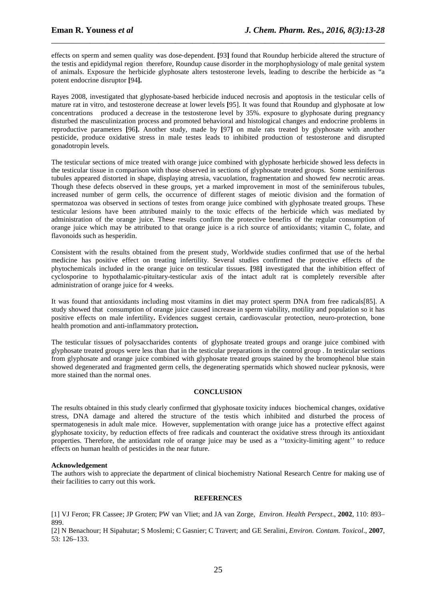effects on sperm and semen quality was dose‐dependent. **[**93**]** found that Roundup herbicide altered the structure of the testis and epididymal region therefore, Roundup cause disorder in the morphophysiology of male genital system of animals. Exposure the herbicide glyphosate alters testosterone levels, leading to describe the herbicide as "a potent endocrine disruptor **[**94**].**

\_\_\_\_\_\_\_\_\_\_\_\_\_\_\_\_\_\_\_\_\_\_\_\_\_\_\_\_\_\_\_\_\_\_\_\_\_\_\_\_\_\_\_\_\_\_\_\_\_\_\_\_\_\_\_\_\_\_\_\_\_\_\_\_\_\_\_\_\_\_\_\_\_\_\_\_\_\_

Rayes 2008, investigated that glyphosate-based herbicide induced necrosis and apoptosis in the testicular cells of mature rat in vitro, and testosterone decrease at lower levels **[**95]. It was found that Roundup and glyphosate at low concentrations produced a decrease in the testosterone level by 35%. exposure to glyphosate during pregnancy disturbed the masculinization process and promoted behavioral and histological changes and endocrine problems in reproductive parameters **[**96**].** Another study, made by **[**97**]** on male rats treated by glyphosate with another pesticide, produce oxidative stress in male testes leads to inhibited production of testosterone and disrupted gonadotropin levels.

The testicular sections of mice treated with orange juice combined with glyphosate herbicide showed less defects in the testicular tissue in comparison with those observed in sections of glyphosate treated groups. Some seminiferous tubules appeared distorted in shape, displaying atresia, vacuolation, fragmentation and showed few necrotic areas. Though these defects observed in these groups, yet a marked improvement in most of the seminiferous tubules, increased number of germ cells, the occurrence of different stages of meiotic division and the formation of spermatozoa was observed in sections of testes from orange juice combined with glyphosate treated groups. These testicular lesions have been attributed mainly to the toxic effects of the herbicide which was mediated by administration of the orange juice. These results confirm the protective benefits of the regular consumption of orange juice which may be attributed to that orange juice is a rich source of antioxidants; vitamin C, folate, and flavonoids such as hesperidin.

Consistent with the results obtained from the present study, Worldwide studies confirmed that use of the herbal medicine has positive effect on treating infertility. Several studies confirmed the protective effects of the phytochemicals included in the orange juice on testicular tissues. **[**98**]** investigated that the inhibition effect of cyclosporine to hypothalamic-pituitary-testicular axis of the intact adult rat is completely reversible after administration of orange juice for 4 weeks.

It was found that antioxidants including most vitamins in diet may protect sperm DNA from free radicals[85]. A study showed that consumption of orange juice caused increase in sperm viability, motility and population so it has positive effects on male infertility**.** Evidences suggest certain, cardiovascular protection, neuro-protection, bone health promotion and anti-inflammatory protection**.**

The testicular tissues of polysaccharides contents of glyphosate treated groups and orange juice combined with glyphosate treated groups were less than that in the testicular preparations in the control group . In testicular sections from glyphosate and orange juice combined with glyphosate treated groups stained by the bromophenol blue stain showed degenerated and fragmented germ cells, the degenerating spermatids which showed nuclear pyknosis, were more stained than the normal ones.

# **CONCLUSION**

The results obtained in this study clearly confirmed that glyphosate toxicity induces biochemical changes, oxidative stress, DNA damage and altered the structure of the testis which inhibited and disturbed the process of spermatogenesis in adult male mice. However, supplementation with orange juice has a protective effect against glyphosate toxicity, by reduction effects of free radicals and counteract the oxidative stress through its antioxidant properties. Therefore, the antioxidant role of orange juice may be used as a ''toxicity-limiting agent'' to reduce effects on human health of pesticides in the near future.

#### **Acknowledgement**

The authors wish to appreciate the department of clinical biochemistry National Research Centre for making use of their facilities to carry out this work.

#### **REFERENCES**

[1] VJ Feron; FR Cassee; JP Groten; PW van Vliet; and JA van Zorge, *Environ. Health Perspect*., **2002**, 110: 893– 899.

[2] N Benachour; H Sipahutar; S Moslemi; C Gasnier; C Travert; and GE Seralini, *Environ. Contam. Toxicol*., **2007**, 53: 126–133.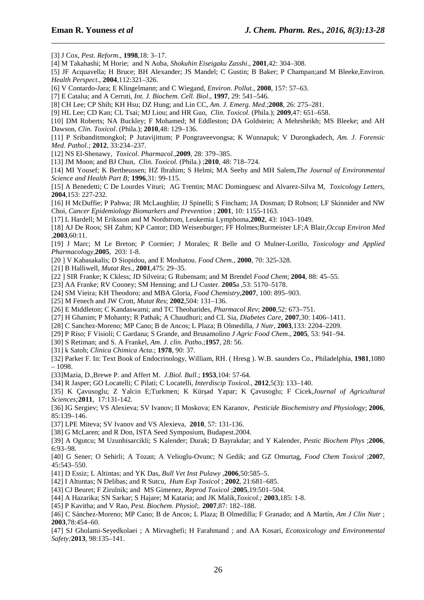[3] J Cox, *Pest. Reform*., **1998**,18: 3–17.

[4] M Takahashi; M Horie; and N Aoba, *Shokuhin Eiseigaku Zasshi*., **2001**,42: 304–308.

[5] JF Acquavella; H Bruce; BH Alexander; JS Mandel; C Gustin; B Baker; P Champan;and M Bleeke,Environ. *Health Perspect*., **2004**,112:321–326.

\_\_\_\_\_\_\_\_\_\_\_\_\_\_\_\_\_\_\_\_\_\_\_\_\_\_\_\_\_\_\_\_\_\_\_\_\_\_\_\_\_\_\_\_\_\_\_\_\_\_\_\_\_\_\_\_\_\_\_\_\_\_\_\_\_\_\_\_\_\_\_\_\_\_\_\_\_\_

[6] V Contardo-Jara; E Klingelmann; and C Wiegand, *Environ. Pollut.,* **2008**, 157: 57–63.

[7] E Catalıa; and A Cerruti, *Int. J. Biochem. Cell. Biol*., **1997**, 29: 541–546.

[8] CH Lee; CP Shih; KH Hsu; DZ Hung; and Lin CC, *Am. J. Emerg. Med*.;**2008**, 26: 275–281.

[9] HL Lee; CD Kan; CL Tsai; MJ Liou; and HR Guo, *Clin. Toxicol*. (Phila.); **2009**,47: 651–658.

[10] DM Roberts; NA Buckley; F Mohamed; M Eddleston; DA Goldstein; A Mehrsheikh; MS Bleeke; and AH Dawson, *Clin. Toxicol*. (Phila.); **2010**,48: 129–136.

[11] P Sribanditmongkol; P Jutavijittum; P Pongraveevongsa; K Wunnapuk; V Durongkadech, *Am. J. Forensic Med. Pathol.;* **2012**, 33:234–237.

[12] NS El-Shenawy, *Toxicol. Pharmacol*.,**2009**, 28: 379–385.

[13] JM Moon; and BJ Chun, *Clin. Toxicol*. (Phila.) ;**2010**, 48: 718–724.

[14] MI Yousef; K Bertheussen; HZ Ibrahim; S Helmi; MA Seehy and MH Salem,*The Journal of Environmental Science and Health Part B;* **1996**,31: 99-115.

[15] A Benedetti; C De Lourdes Vituri; AG Trentin; MAC Dominguesc and Alvarez-Silva M, *Toxicology Letters,* **2004**,153: 227-232.

[16] H McDuffie; P Pahwa; JR McLaughlin; JJ Spinelli; S Fincham; JA Dosman; D Robson; LF Skinnider and NW Choi, *Cancer Epidemiology Biomarkers and Prevention* ; **2001**, 10: 1155-1163.

[17] L Hardell; M Eriksson and M Nordstrom, Leukemia Lymphoma,**2002**, 43: 1043–1049.

[18] AJ De Roos; SH Zahm; KP Cantor; DD Weisenburger; FF Holmes;Burmeister LF;A Blair,*Occup Environ Med* ,**2003**,60:11.

[19] J Marc; M Le Breton; P Cormier; J Morales; R Belle and O Mulner-Lorillo, *Toxicology and Applied Pharmacology,***2005**, 203: 1-8.

[20 ] V Kabasakalis; D Siopidou, and E Moshatou. *Food Chem*., **2000**, 70: 325-328.

[21] B Halliwell, *Mutat Res.,* **2001**,475: 29–35.

[22 ] SIR Franke; K Ckless; JD Silveira; G Rubensam; and M Brendel *Food Chem*; **2004**, 88: 45–55.

[23] AA Franke; RV Cooney; SM Henning; and LJ Custer. **2005**a ,53: 5170–5178.

[24] SM Vieira; KH Theodoro; and MBA Gloria, *Food Chemistry*,**2007**, 100: 895–903.

[25] M Fenech and JW Crott, *Mutat Res*; **2002**,504: 131–136.

[26] E Middleton; C Kandaswami; and TC Theoharides, *Pharmacol Rev*; **2000**,52: 673–751.

[27] H Ghanim; P Mohanty; R Pathak; A Chaudhuri; and CL Sia, *Diabetes Care*, **2007**,30: 1406–1411.

[28] C Sanchez-Moreno; MP Cano; B de Ancos; L Plaza; B Olmedilla, *J Nutr*, **2003**,133: 2204–2209.

[29] P Riso; F Visioli; C Gardana; S Grande, and Brusamolino *J Agric Food Chem*., **2005**, 53: 941–94.

[30] S Retiman; and S. A Frankel, *Am. J. clin. Patho*.;**1957**, 28: 56.

[31] k Satoh; *Clinica Chimica Acta*.; **1978**, 90: 37.

[32] Parker F. In: Text Book of Endocrinology, William, RH. ( Hresg ). W.B. saunders Co., Philadelphia, **1981**,1080 – 1098.

[33]Mazia, D.,Brewe P. and Affert M. *J.Biol. Bull*.; **1953**,104: 57-64.

[34] R Jasper; GO Locatelli; C Pilati; C Locatelli, *Interdiscip Toxicol*., **2012**,5(3): 133–140.

[35] K Çavusoglu; Z Yalcin E;Turkmen; K Kürşad Yapar; K Çavusoglu; F Cicek,*Journal of Agricultural Sciences;***2011**, 17:131-142.

[36] IG Sergiev; VS Alexieva; SV Ivanov; II Moskova; EN Karanov, *Pesticide Biochemistry and Physiology*; **2006**, 85:139–146.

[37] LPE Miteva; SV Ivanov and VS Alexieva, **2010***,* 57: 131-136.

[38] G McLaren; and R Don, ISTA Seed Symposium, Budapest.2004.

[39] A Ogutcu; M Uzunhisarcikli; S Kalender; Durak; D Bayrakdar; and Y Kalender, *Pestic Biochem Phys* ;**2006**, 6:93–98.

[40] G Sener; O Sehirli; A Tozan; A Velioglu-Ovunc; N Gedik; and GZ Omurtag, *Food Chem Toxicol* ;**2007**, 45:543–550.

[41] D Essiz; L Altintas; and YK Das, *Bull Vet Inst Pulawy* ,**2006**,50:585–5.

[42] I Altuntas; N Delibas; and R Sutcu, *Hum Exp Toxicol* ; **2002**, 21:681–685.

[43] CJ Beuret; F Zirulnik; and MS Gimenez, *Reprod Toxicol* ;**2005**,19:501–504.

[44] A Hazarika; SN Sarkar; S Hajare; M Kataria; and JK Malik,*Toxicol*.*;* **2003**,185: 1-8.

[45] P Kavitha; and V Rao, *Pest. Biochem. Physiol*;*.* **2007***,*87: 182–188.

[46] C Sánchez-Moreno; MP Cano; B de Ancos; L Plaza; B Olmedilla; F Granado; and A Martín, *Am J Clin Nutr* ; **2003**,78:454–60.

[47] SJ Gholami-Seyedkolaei ; A Mirvaghefi; H Farahmand ; and AA Kosari, *Ecotoxicology and Environmental Safety;***2013**, 98:135–141.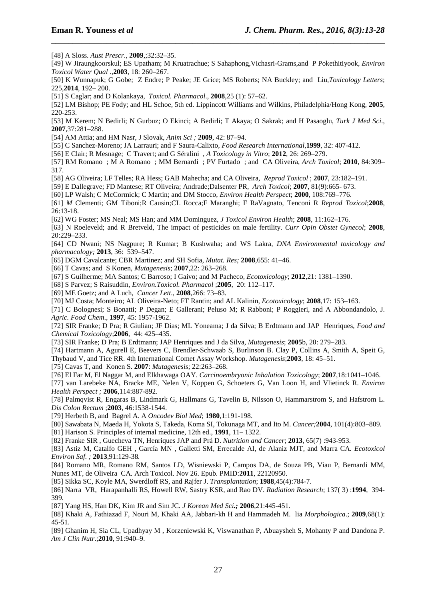[48] A Sloss. *Aust Prescr*., **2009**,;32:32–35.

[49] W Jiraungkoorskul; ES Upatham; M Kruatrachue; S Sahaphong,Vichasri-Grams,and P Pokethitiyook, *Environ Toxicol Water Qual* .,**2003**, 18: 260–267.

\_\_\_\_\_\_\_\_\_\_\_\_\_\_\_\_\_\_\_\_\_\_\_\_\_\_\_\_\_\_\_\_\_\_\_\_\_\_\_\_\_\_\_\_\_\_\_\_\_\_\_\_\_\_\_\_\_\_\_\_\_\_\_\_\_\_\_\_\_\_\_\_\_\_\_\_\_\_

[50] K Wunnapuk; G Gobe; Z Endre; P Peake; JE Grice; MS Roberts; NA Buckley; and Liu,*Toxicology Letters*; 225,**2014**, 192– 200.

[51] S Caglar; and D Kolankaya, *Toxicol. Pharmacol*., **2008**,25 (1): 57–62.

- [52] LM Bishop; PE Fody; and HL Schoe, 5th ed. Lippincott Williams and Wilkins, Philadelphia/Hong Kong, **2005**, 220-253.
- [53] M Kerem; N Bedirli; N Gurbuz; O Ekinci; A Bedirli; T Akaya; O Sakrak; and H Pasaoglu, *Turk J Med Sci*., **2007**,37:281–288.
- [54] AM Attia; and HM Nasr, J Slovak, *Anim Sci ;* **2009**, 42: 87–94.
- [55] C Sanchez-Moreno; JA Larrauri; and F Saura-Calixto, *Food Research International*,**1999**, 32: 407-412.
- [56] E Clair; R Mesnage; C Travert; and G Séralini , *A Toxicology in Vitro*; **2012**, 26: 269–279.
- [57] RM Romano ; M A Romano ; MM Bernardi ; PV Furtado ; and CA Oliveira, *Arch Toxicol*; **2010**, 84:309– 317.
- [58] AG Oliveira; LF Telles; RA Hess; GAB Mahecha; and CA Oliveira, *Reprod Toxicol* ; **2007**, 23:182–191.
- [59] E Dallegrave; FD Mantese; RT Oliveira; Andrade;Dalsenter PR, *Arch Toxicol*; **2007**, 81(9):665- 673.

[60] LP Walsh; C McCormick; C Martin; and DM Stocco, *Environ Health Perspect*; **2000**, 108:769–776.

- [61] *M* Clementi; GM Tiboni;R Causin;CL Rocca;F Maranghi; F RaVagnato, Tenconi R *Reprod Toxicol*;**2008**, 26:13-18.
- [62] WG Foster; MS Neal; MS Han; and MM Dominguez, *J Toxicol Environ Health*; **2008**, 11:162–176.
- [63] N Roeleveld; and R Bretveld, The impact of pesticides on male fertility. *Curr Opin Obstet Gynecol*; **2008**, 20:229–233.
- [64] CD Nwani; NS Nagpure; R Kumar; B Kushwaha; and WS Lakra, *DNA Environmental toxicology and pharmacology;* **2013**, 36: 539–547.
- [65] DGM Cavalcante; CBR Martinez; and SH Sofia, *Mutat. Res;* **2008**,655: 41–46.
- [66] T Cavas; and S Konen, *Mutagenesis*; **2007**,22: 263–268.
- [67] S Guilherme; MA Santos; C Barroso; I Gaivo; and M Pacheco, *Ecotoxicology*; **2012**,21: 1381–1390.
- [68] S Parvez; S Raisuddin, *Environ.Toxicol. Pharmacol* ;**2005**, 20: 112–117.
- [69] ME Goetz; and A Luch, *Cancer Lett*., **2008**,266: 73–83.
- [70] MJ Costa; Monteiro; AL Oliveira-Neto; FT Rantin; and AL Kalinin, *Ecotoxicology*; **2008**,17: 153–163.
- [71] C Bolognesi; S Bonatti; P Degan; E Gallerani; Peluso M; R Rabboni; P Roggieri, and A Abbondandolo, J. *Agric. Food Chem*., **1997**, 45: 1957-1962.
- [72] SIR Franke; D Pra; R Giulian; JF Dias; ML Yoneama; J da Silva; B Erdtmann and JAP Henriques, *Food and Chemical Toxicology*;**2006**, 44: 425–435.
- [73] SIR Franke; D Pra; B Erdtmann; JAP Henriques and J da Silva, *Mutagenesis*; **2005**b, 20: 279–283.
- [74] Hartmann A, Agurell E, Beevers C, Brendler-Schwaab S, Burlinson B. Clay P, Collins A, Smith A, Speit G,
- Thybaud V, and Tice RR. 4th International Comet Assay Workshop. *Mutagenesis*;**2003**, 18: 45–51.
- [75] Cavas T, and Konen S. **2007**: *Mutagenesis*; 22:263–268.
- [76] El Far M, El Naggar M, and Elkhawaga OAY. *Carcinoembryonic Inhalation Toxicology*; **2007**,18:1041–1046.
- [77] van Larebeke NA, Bracke ME, Nelen V, Koppen G, Schoeters G, Van Loon H, and Vlietinck R. *Environ Health Perspect ;* **2006**,114:887-892.
- [78] Palmqvist R, Engaras B, Lindmark G, Hallmans G, Tavelin B, Nilsson O, Hammarstrom S, and Hafstrom L. *Dis Colon Rectum* ;**2003**, 46:1538-1544.
- [79] Herbeth B, and Bagrel A. A *Oncodev Biol Med*; **1980**,1:191-198.
- [80] Sawabata N, Maeda H, Yokota S, Takeda, Koma SI, Tokunaga MT, and Ito M. *Cancer;***2004**, 101(4):803–809.
- [81] Harison S. Principles of internal medicine, 12th ed., **1991**, 11– 1322.
- [82] Franke SIR , Guecheva TN, Henriques JAP and Prá D. *Nutrition and Cancer*; **2013**, 65(7) :943-953.

[83] Astiz M, Catalfo GEH , García MN , Galletti SM, Errecalde AI, de Alaniz MJT, and Marra CA*. Ecotoxicol Environ Saf. ;* **2013**,91:129-38*.*

- [84] Romano MR, Romano RM, Santos LD, Wisniewski P, Campos DA, de Souza PB, Viau P, Bernardi MM, Nunes MT, de Oliveira CA. Arch Toxicol. Nov 26. Epub. PMID:**2011**, 22120950.
- [85] Sikka SC, Koyle MA, Swerdloff RS, and Rajfer J. *Transplantation*; **1988**,45(4):784-7.
- [86] Narra VR, Harapanhalli RS, Howell RW, Sastry KSR, and Rao DV. *Radiation Research*; 137( 3) :**1994**, 394- 399*.*
- [87] Yang HS, Han DK, Kim JR and Sim JC*. J Korean Med Sci.;* **2006**,21:445-451.
- [88] Khaki A, Fathiazad F, Nouri M, Khaki AA, Jabbari-kh H and Hammadeh M. lia *Morphologica*.; **2009**,68(1): 45-51.
- [89] Ghanim H, Sia CL, Upadhyay M , Korzeniewski K, Viswanathan P, Abuaysheh S, Mohanty P and Dandona P. *Am J Clin Nutr*.;**2010**, 91:940–9.